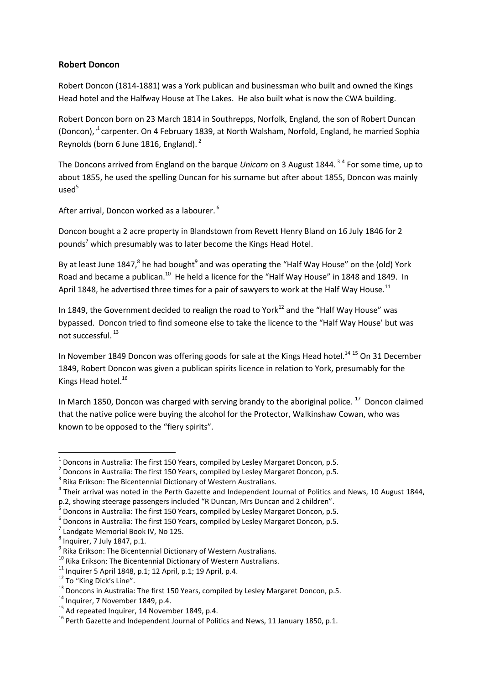## **Robert Doncon**

Robert Doncon (1814-1881) was a York publican and businessman who built and owned the Kings Head hotel and the Halfway House at The Lakes. He also built what is now the CWA building.

Robert Doncon born on 23 March 1814 in Southrepps, Norfolk, England, the son of Robert Duncan (Doncon), <sup>1</sup> carpenter. On 4 February 1839, at North Walsham, Norfold, England, he married Sophia Reynolds (born 6 June 1816, England). <sup>2</sup>

The Doncons arrived from England on the barque *Unicorn* on 3 August 1844.<sup>34</sup> For some time, up to about 1855, he used the spelling Duncan for his surname but after about 1855, Doncon was mainly  $used<sup>5</sup>$ 

After arrival, Doncon worked as a labourer. <sup>6</sup>

Doncon bought a 2 acre property in Blandstown from Revett Henry Bland on 16 July 1846 for 2 pounds<sup>7</sup> which presumably was to later become the Kings Head Hotel.

By at least June 1847,<sup>8</sup> he had bought<sup>9</sup> and was operating the "Half Way House" on the (old) York Road and became a publican.<sup>10</sup> He held a licence for the "Half Way House" in 1848 and 1849. In April 1848, he advertised three times for a pair of sawyers to work at the Half Way House.<sup>11</sup>

In 1849, the Government decided to realign the road to York $^{12}$  and the "Half Wav House" was bypassed. Doncon tried to find someone else to take the licence to the "Half Way House' but was not successful. <sup>13</sup>

In November 1849 Doncon was offering goods for sale at the Kings Head hotel.<sup>14 15</sup> On 31 December 1849, Robert Doncon was given a publican spirits licence in relation to York, presumably for the Kings Head hotel.<sup>16</sup>

In March 1850, Doncon was charged with serving brandy to the aboriginal police.  $^{17}$  Doncon claimed that the native police were buying the alcohol for the Protector, Walkinshaw Cowan, who was known to be opposed to the "fiery spirits".

<sup>1</sup> Doncons in Australia: The first 150 Years, compiled by Lesley Margaret Doncon, p.5.

 $^2$  Doncons in Australia: The first 150 Years, compiled by Lesley Margaret Doncon, p.5.

<sup>&</sup>lt;sup>3</sup> Rika Erikson: The Bicentennial Dictionary of Western Australians.

 $^4$  Their arrival was noted in the Perth Gazette and Independent Journal of Politics and News, 10 August 1844, p.2, showing steerage passengers included "R Duncan, Mrs Duncan and 2 children".

<sup>5</sup> Doncons in Australia: The first 150 Years, compiled by Lesley Margaret Doncon, p.5.

 $^6$  Doncons in Australia: The first 150 Years, compiled by Lesley Margaret Doncon, p.5.<br>
<sup>7</sup> Landsate Mamarial Book IV, No.135

Landgate Memorial Book IV, No 125.

 $^8$  Inquirer, 7 July 1847, p.1.

<sup>&</sup>lt;sup>9</sup> Rika Erikson: The Bicentennial Dictionary of Western Australians.

<sup>&</sup>lt;sup>10</sup> Rika Erikson: The Bicentennial Dictionary of Western Australians.

 $11$  Inquirer 5 April 1848, p.1; 12 April, p.1; 19 April, p.4.

 $12$  To "King Dick's Line".

<sup>&</sup>lt;sup>13</sup> Doncons in Australia: The first 150 Years, compiled by Lesley Margaret Doncon, p.5.

 $14$  Inquirer, 7 November 1849, p.4.

<sup>&</sup>lt;sup>15</sup> Ad repeated Inquirer, 14 November 1849, p.4.

 $16$  Perth Gazette and Independent Journal of Politics and News, 11 January 1850, p.1.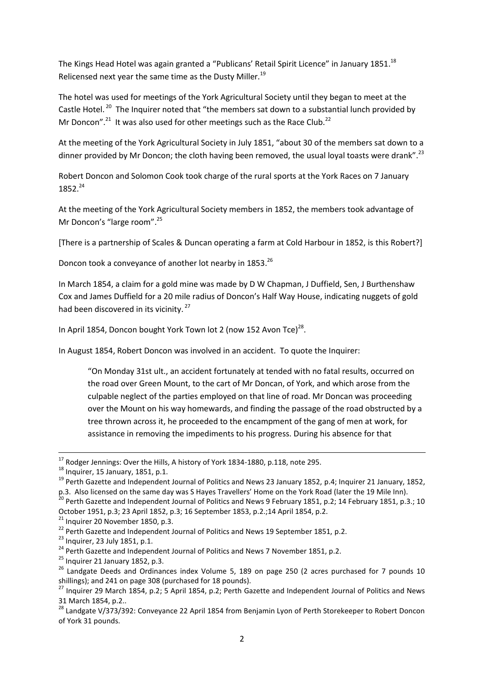The Kings Head Hotel was again granted a "Publicans' Retail Spirit Licence" in January 1851.<sup>18</sup> Relicensed next year the same time as the Dusty Miller.<sup>19</sup>

The hotel was used for meetings of the York Agricultural Society until they began to meet at the Castle Hotel.<sup>20</sup> The Inquirer noted that "the members sat down to a substantial lunch provided by Mr Doncon".<sup>21</sup> It was also used for other meetings such as the Race Club.<sup>22</sup>

At the meeting of the York Agricultural Society in July 1851, "about 30 of the members sat down to a dinner provided by Mr Doncon; the cloth having been removed, the usual loyal toasts were drank".<sup>23</sup>

Robert Doncon and Solomon Cook took charge of the rural sports at the York Races on 7 January 1852.24

At the meeting of the York Agricultural Society members in 1852, the members took advantage of Mr Doncon's "large room".<sup>25</sup>

[There is a partnership of Scales & Duncan operating a farm at Cold Harbour in 1852, is this Robert?]

Doncon took a conveyance of another lot nearby in 1853.<sup>26</sup>

In March 1854, a claim for a gold mine was made by D W Chapman, J Duffield, Sen, J Burthenshaw Cox and James Duffield for a 20 mile radius of Doncon's Half Way House, indicating nuggets of gold had been discovered in its vicinity.<sup>27</sup>

In April 1854, Doncon bought York Town lot 2 (now 152 Avon Tce)<sup>28</sup>.

In August 1854, Robert Doncon was involved in an accident. To quote the Inquirer:

"On Monday 31st ult., an accident fortunately at tended with no fatal results, occurred on the road over Green Mount, to the cart of Mr Doncan, of York, and which arose from the culpable neglect of the parties employed on that line of road. Mr Doncan was proceeding over the Mount on his way homewards, and finding the passage of the road obstructed by a tree thrown across it, he proceeded to the encampment of the gang of men at work, for assistance in removing the impediments to his progress. During his absence for that

 $^{17}$  Rodger Jennings: Over the Hills, A history of York 1834-1880, p.118, note 295.

 $18$  Inquirer, 15 January, 1851, p.1.

<sup>&</sup>lt;sup>19</sup> Perth Gazette and Independent Journal of Politics and News 23 January 1852, p.4; Inquirer 21 January, 1852, p.3. Also licensed on the same day was S Hayes Travellers' Home on the York Road (later the 19 Mile Inn).

 $^{20}$  Perth Gazette and Independent Journal of Politics and News 9 February 1851, p.2; 14 February 1851, p.3.; 10 October 1951, p.3; 23 April 1852, p.3; 16 September 1853, p.2.;14 April 1854, p.2.

 $21$  Inquirer 20 November 1850, p.3.

<sup>&</sup>lt;sup>22</sup> Perth Gazette and Independent Journal of Politics and News 19 September 1851, p.2.

 $^{23}$  Inquirer, 23 July 1851, p.1.

<sup>&</sup>lt;sup>24</sup> Perth Gazette and Independent Journal of Politics and News 7 November 1851, p.2.

 $25$  Inquirer 21 January 1852, p.3.

<sup>&</sup>lt;sup>26</sup> Landgate Deeds and Ordinances index Volume 5, 189 on page 250 (2 acres purchased for 7 pounds 10 shillings); and 241 on page 308 (purchased for 18 pounds).

<sup>&</sup>lt;sup>27</sup> Inquirer 29 March 1854, p.2; 5 April 1854, p.2; Perth Gazette and Independent Journal of Politics and News 31 March 1854, p.2..

<sup>&</sup>lt;sup>28</sup> Landgate V/373/392: Conveyance 22 April 1854 from Benjamin Lyon of Perth Storekeeper to Robert Doncon of York 31 pounds.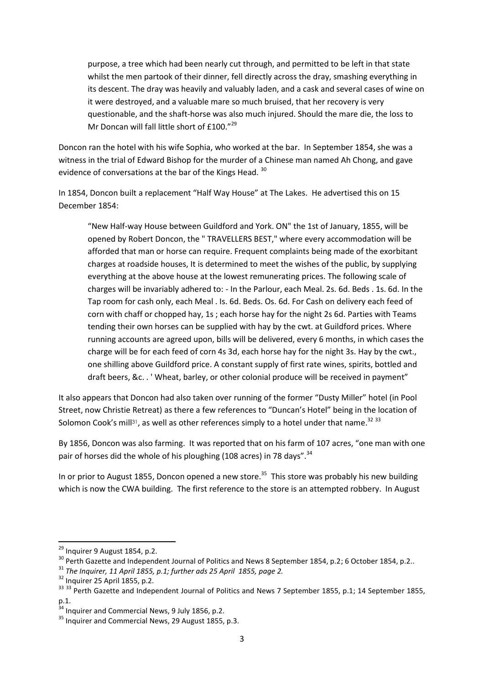purpose, a tree which had been nearly cut through, and permitted to be left in that state whilst the men partook of their dinner, fell directly across the dray, smashing everything in its descent. The dray was heavily and valuably laden, and a cask and several cases of wine on it were destroyed, and a valuable mare so much bruised, that her recovery is very questionable, and the shaft-horse was also much injured. Should the mare die, the loss to Mr Doncan will fall little short of £100."<sup>29</sup>

Doncon ran the hotel with his wife Sophia, who worked at the bar. In September 1854, she was a witness in the trial of Edward Bishop for the murder of a Chinese man named Ah Chong, and gave evidence of conversations at the bar of the Kings Head.<sup>30</sup>

In 1854, Doncon built a replacement "Half Way House" at The Lakes. He advertised this on 15 December 1854:

"New Half-way House between Guildford and York. ON" the 1st of January, 1855, will be opened by Robert Doncon, the " TRAVELLERS BEST," where every accommodation will be afforded that man or horse can require. Frequent complaints being made of the exorbitant charges at roadside houses, It is determined to meet the wishes of the public, by supplying everything at the above house at the lowest remunerating prices. The following scale of charges will be invariably adhered to: - In the Parlour, each Meal. 2s. 6d. Beds . 1s. 6d. In the Tap room for cash only, each Meal . Is. 6d. Beds. Os. 6d. For Cash on delivery each feed of corn with chaff or chopped hay, 1s ; each horse hay for the night 2s 6d. Parties with Teams tending their own horses can be supplied with hay by the cwt. at Guildford prices. Where running accounts are agreed upon, bills will be delivered, every 6 months, in which cases the charge will be for each feed of corn 4s 3d, each horse hay for the night 3s. Hay by the cwt., one shilling above Guildford price. A constant supply of first rate wines, spirits, bottled and draft beers, &c. . ' Wheat, barley, or other colonial produce will be received in payment"

It also appears that Doncon had also taken over running of the former "Dusty Miller" hotel (in Pool Street, now Christie Retreat) as there a few references to "Duncan's Hotel" being in the location of Solomon Cook's mill<sup>31</sup>, as well as other references simply to a hotel under that name.<sup>32</sup> 33

By 1856, Doncon was also farming. It was reported that on his farm of 107 acres, "one man with one pair of horses did the whole of his ploughing (108 acres) in 78 days".<sup>34</sup>

In or prior to August 1855, Doncon opened a new store.<sup>35</sup> This store was probably his new building which is now the CWA building. The first reference to the store is an attempted robbery. In August

 $29$  Inquirer 9 August 1854, p.2.

<sup>&</sup>lt;sup>30</sup> Perth Gazette and Independent Journal of Politics and News 8 September 1854, p.2; 6 October 1854, p.2..

<sup>31</sup> *The Inquirer, 11 April 1855, p.1; further ads 25 April 1855, page 2.*

 $32$  Inquirer 25 April 1855, p.2.

<sup>&</sup>lt;sup>33 33</sup> Perth Gazette and Independent Journal of Politics and News 7 September 1855, p.1; 14 September 1855, p.1.

<sup>&</sup>lt;sup>34</sup> Inquirer and Commercial News, 9 July 1856, p.2.

<sup>&</sup>lt;sup>35</sup> Inquirer and Commercial News, 29 August 1855, p.3.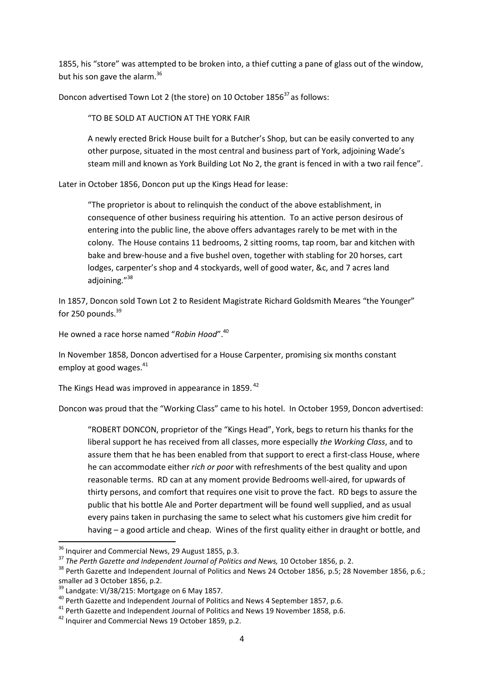1855, his "store" was attempted to be broken into, a thief cutting a pane of glass out of the window, but his son gave the alarm.<sup>36</sup>

Doncon advertised Town Lot 2 (the store) on 10 October 1856<sup>37</sup> as follows:

"TO BE SOLD AT AUCTION AT THE YORK FAIR

A newly erected Brick House built for a Butcher's Shop, but can be easily converted to any other purpose, situated in the most central and business part of York, adjoining Wade's steam mill and known as York Building Lot No 2, the grant is fenced in with a two rail fence".

Later in October 1856, Doncon put up the Kings Head for lease:

"The proprietor is about to relinquish the conduct of the above establishment, in consequence of other business requiring his attention. To an active person desirous of entering into the public line, the above offers advantages rarely to be met with in the colony. The House contains 11 bedrooms, 2 sitting rooms, tap room, bar and kitchen with bake and brew-house and a five bushel oven, together with stabling for 20 horses, cart lodges, carpenter's shop and 4 stockyards, well of good water, &c, and 7 acres land adjoining."<sup>38</sup>

In 1857, Doncon sold Town Lot 2 to Resident Magistrate Richard Goldsmith Meares "the Younger" for 250 pounds. $39$ 

He owned a race horse named "*Robin Hood*". 40

In November 1858, Doncon advertised for a House Carpenter, promising six months constant employ at good wages. $41$ 

The Kings Head was improved in appearance in 1859.<sup>42</sup>

Doncon was proud that the "Working Class" came to his hotel. In October 1959, Doncon advertised:

"ROBERT DONCON, proprietor of the "Kings Head", York, begs to return his thanks for the liberal support he has received from all classes, more especially *the Working Class*, and to assure them that he has been enabled from that support to erect a first-class House, where he can accommodate either *rich or poor* with refreshments of the best quality and upon reasonable terms. RD can at any moment provide Bedrooms well-aired, for upwards of thirty persons, and comfort that requires one visit to prove the fact. RD begs to assure the public that his bottle Ale and Porter department will be found well supplied, and as usual every pains taken in purchasing the same to select what his customers give him credit for having – a good article and cheap. Wines of the first quality either in draught or bottle, and

<sup>&</sup>lt;sup>36</sup> Inquirer and Commercial News, 29 August 1855, p.3.

<sup>&</sup>lt;sup>37</sup> The Perth Gazette and Independent Journal of Politics and News, 10 October 1856, p. 2.

<sup>&</sup>lt;sup>38</sup> Perth Gazette and Independent Journal of Politics and News 24 October 1856, p.5; 28 November 1856, p.6.; smaller ad 3 October 1856, p.2.

<sup>&</sup>lt;sup>39</sup> Landgate: VI/38/215: Mortgage on 6 May 1857.

<sup>&</sup>lt;sup>40</sup> Perth Gazette and Independent Journal of Politics and News 4 September 1857, p.6.

 $41$  Perth Gazette and Independent Journal of Politics and News 19 November 1858, p.6.

<sup>&</sup>lt;sup>42</sup> Inquirer and Commercial News 19 October 1859, p.2.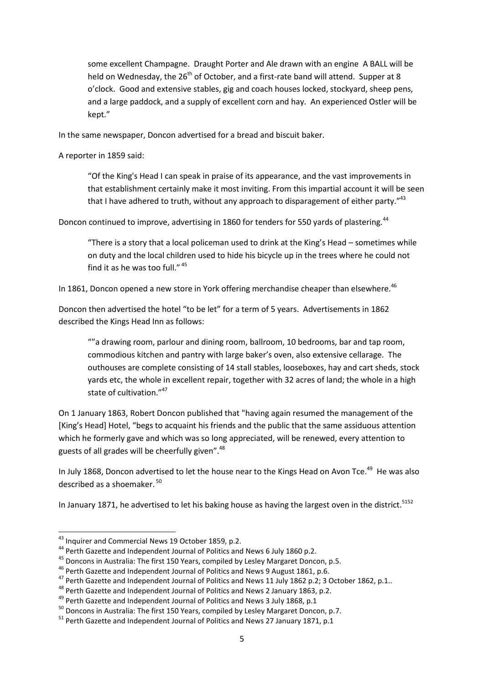some excellent Champagne. Draught Porter and Ale drawn with an engine A BALL will be held on Wednesday, the  $26<sup>th</sup>$  of October, and a first-rate band will attend. Supper at 8 o'clock. Good and extensive stables, gig and coach houses locked, stockyard, sheep pens, and a large paddock, and a supply of excellent corn and hay. An experienced Ostler will be kept."

In the same newspaper, Doncon advertised for a bread and biscuit baker.

A reporter in 1859 said:

"Of the King's Head I can speak in praise of its appearance, and the vast improvements in that establishment certainly make it most inviting. From this impartial account it will be seen that I have adhered to truth, without any approach to disparagement of either party."<sup>43</sup>

Doncon continued to improve, advertising in 1860 for tenders for 550 vards of plastering.<sup>44</sup>

"There is a story that a local policeman used to drink at the King's Head – sometimes while on duty and the local children used to hide his bicycle up in the trees where he could not find it as he was too full." <sup>45</sup>

In 1861, Doncon opened a new store in York offering merchandise cheaper than elsewhere.<sup>46</sup>

Doncon then advertised the hotel "to be let" for a term of 5 years. Advertisements in 1862 described the Kings Head Inn as follows:

""a drawing room, parlour and dining room, ballroom, 10 bedrooms, bar and tap room, commodious kitchen and pantry with large baker's oven, also extensive cellarage. The outhouses are complete consisting of 14 stall stables, looseboxes, hay and cart sheds, stock yards etc, the whole in excellent repair, together with 32 acres of land; the whole in a high state of cultivation."<sup>47</sup>

On 1 January 1863, Robert Doncon published that "having again resumed the management of the [King's Head] Hotel, "begs to acquaint his friends and the public that the same assiduous attention which he formerly gave and which was so long appreciated, will be renewed, every attention to guests of all grades will be cheerfully given".<sup>48</sup>

In July 1868, Doncon advertised to let the house near to the Kings Head on Avon Tce.<sup>49</sup> He was also described as a shoemaker.<sup>50</sup>

In January 1871, he advertised to let his baking house as having the largest oven in the district.<sup>5152</sup>

1

<sup>&</sup>lt;sup>43</sup> Inquirer and Commercial News 19 October 1859, p.2.

<sup>&</sup>lt;sup>44</sup> Perth Gazette and Independent Journal of Politics and News 6 July 1860 p.2.

<sup>&</sup>lt;sup>45</sup> Doncons in Australia: The first 150 Years, compiled by Lesley Margaret Doncon, p.5.

<sup>&</sup>lt;sup>46</sup> Perth Gazette and Independent Journal of Politics and News 9 August 1861, p.6.

<sup>&</sup>lt;sup>47</sup> Perth Gazette and Independent Journal of Politics and News 11 July 1862 p.2; 3 October 1862, p.1..

<sup>&</sup>lt;sup>48</sup> Perth Gazette and Independent Journal of Politics and News 2 January 1863, p.2.

 $49$  Perth Gazette and Independent Journal of Politics and News 3 July 1868, p.1

<sup>&</sup>lt;sup>50</sup> Doncons in Australia: The first 150 Years, compiled by Lesley Margaret Doncon, p.7.

 $51$  Perth Gazette and Independent Journal of Politics and News 27 January 1871, p.1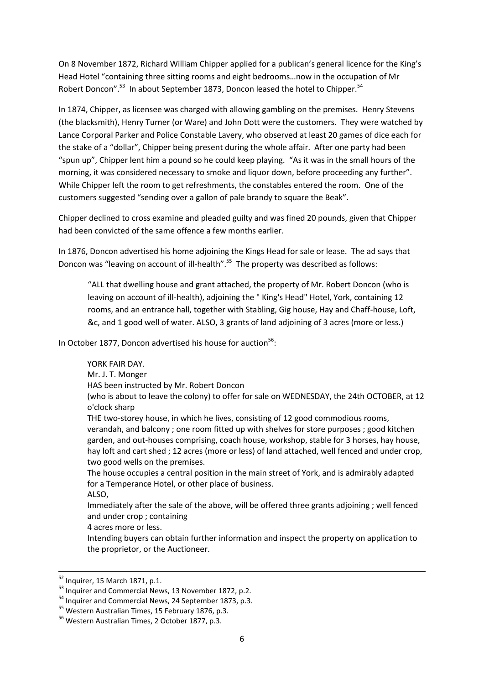On 8 November 1872, Richard William Chipper applied for a publican's general licence for the King's Head Hotel "containing three sitting rooms and eight bedrooms…now in the occupation of Mr Robert Doncon".<sup>53</sup> In about September 1873, Doncon leased the hotel to Chipper.<sup>54</sup>

In 1874, Chipper, as licensee was charged with allowing gambling on the premises. Henry Stevens (the blacksmith), Henry Turner (or Ware) and John Dott were the customers. They were watched by Lance Corporal Parker and Police Constable Lavery, who observed at least 20 games of dice each for the stake of a "dollar", Chipper being present during the whole affair. After one party had been "spun up", Chipper lent him a pound so he could keep playing. "As it was in the small hours of the morning, it was considered necessary to smoke and liquor down, before proceeding any further". While Chipper left the room to get refreshments, the constables entered the room. One of the customers suggested "sending over a gallon of pale brandy to square the Beak".

Chipper declined to cross examine and pleaded guilty and was fined 20 pounds, given that Chipper had been convicted of the same offence a few months earlier.

In 1876, Doncon advertised his home adjoining the Kings Head for sale or lease. The ad says that Doncon was "leaving on account of ill-health".<sup>55</sup> The property was described as follows:

"ALL that dwelling house and grant attached, the property of Mr. Robert Doncon (who is leaving on account of ill-health), adjoining the " King's Head" Hotel, York, containing 12 rooms, and an entrance hall, together with Stabling, Gig house, Hay and Chaff-house, Loft, &c, and 1 good well of water. ALSO, 3 grants of land adjoining of 3 acres (more or less.)

In October 1877, Doncon advertised his house for auction<sup>56</sup>:

## YORK FAIR DAY.

Mr. J. T. Monger

HAS been instructed by Mr. Robert Doncon

(who is about to leave the colony) to offer for sale on WEDNESDAY, the 24th OCTOBER, at 12 o'clock sharp

THE two-storey house, in which he lives, consisting of 12 good commodious rooms, verandah, and balcony ; one room fitted up with shelves for store purposes ; good kitchen garden, and out-houses comprising, coach house, workshop, stable for 3 horses, hay house, hay loft and cart shed ; 12 acres (more or less) of land attached, well fenced and under crop, two good wells on the premises.

The house occupies a central position in the main street of York, and is admirably adapted for a Temperance Hotel, or other place of business.

ALSO,

Immediately after the sale of the above, will be offered three grants adjoining ; well fenced and under crop ; containing

4 acres more or less.

Intending buyers can obtain further information and inspect the property on application to the proprietor, or the Auctioneer.

 $\overline{a}$ 

<sup>52</sup> Inquirer, 15 March 1871, p.1.

<sup>&</sup>lt;sup>53</sup> Inquirer and Commercial News, 13 November 1872, p.2.

<sup>&</sup>lt;sup>54</sup> Inquirer and Commercial News, 24 September 1873, p.3.

<sup>55</sup> Western Australian Times, 15 February 1876, p.3.

<sup>56</sup> Western Australian Times, 2 October 1877, p.3.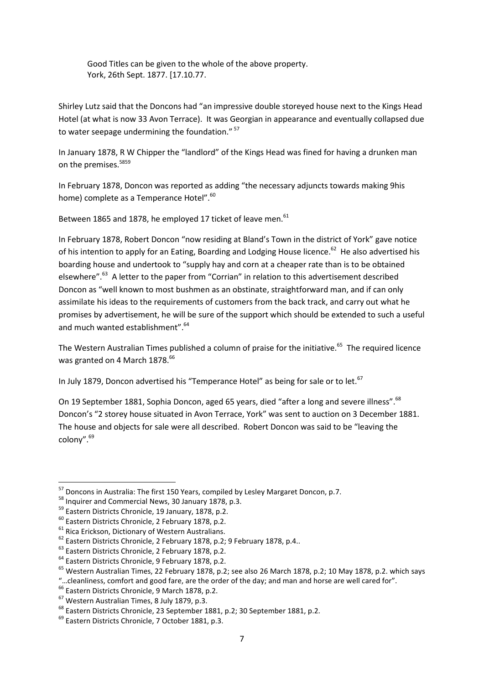Good Titles can be given to the whole of the above property. York, 26th Sept. 1877. [17.10.77.

Shirley Lutz said that the Doncons had "an impressive double storeyed house next to the Kings Head Hotel (at what is now 33 Avon Terrace). It was Georgian in appearance and eventually collapsed due to water seepage undermining the foundation."<sup>57</sup>

In January 1878, R W Chipper the "landlord" of the Kings Head was fined for having a drunken man on the premises.<sup>5859</sup>

In February 1878, Doncon was reported as adding "the necessary adjuncts towards making 9his home) complete as a Temperance Hotel".<sup>60</sup>

Between 1865 and 1878, he employed 17 ticket of leave men.<sup>61</sup>

In February 1878, Robert Doncon "now residing at Bland's Town in the district of York" gave notice of his intention to apply for an Eating, Boarding and Lodging House licence.<sup>62</sup> He also advertised his boarding house and undertook to "supply hay and corn at a cheaper rate than is to be obtained elsewhere".<sup>63</sup> A letter to the paper from "Corrian" in relation to this advertisement described Doncon as "well known to most bushmen as an obstinate, straightforward man, and if can only assimilate his ideas to the requirements of customers from the back track, and carry out what he promises by advertisement, he will be sure of the support which should be extended to such a useful and much wanted establishment".<sup>64</sup>

The Western Australian Times published a column of praise for the initiative.<sup>65</sup> The required licence was granted on 4 March 1878.<sup>66</sup>

In July 1879, Doncon advertised his "Temperance Hotel" as being for sale or to let.<sup>67</sup>

On 19 September 1881, Sophia Doncon, aged 65 years, died "after a long and severe illness".<sup>68</sup> Doncon's "2 storey house situated in Avon Terrace, York" was sent to auction on 3 December 1881. The house and objects for sale were all described. Robert Doncon was said to be "leaving the colony".<sup>69</sup>

 $\overline{a}$ 

<sup>&</sup>lt;sup>57</sup> Doncons in Australia: The first 150 Years, compiled by Lesley Margaret Doncon, p.7.

<sup>&</sup>lt;sup>58</sup> Inquirer and Commercial News, 30 January 1878, p.3.

<sup>&</sup>lt;sup>59</sup> Eastern Districts Chronicle, 19 January, 1878, p.2.

<sup>60</sup> Eastern Districts Chronicle, 2 February 1878, p.2.

<sup>&</sup>lt;sup>61</sup> Rica Erickson, Dictionary of Western Australians.

<sup>&</sup>lt;sup>62</sup> Eastern Districts Chronicle, 2 February 1878, p.2; 9 February 1878, p.4..

<sup>&</sup>lt;sup>63</sup> Eastern Districts Chronicle, 2 February 1878, p.2.

<sup>64</sup> Eastern Districts Chronicle, 9 February 1878, p.2.

<sup>&</sup>lt;sup>65</sup> Western Australian Times, 22 February 1878, p.2; see also 26 March 1878, p.2; 10 May 1878, p.2. which says

<sup>&</sup>quot;…cleanliness, comfort and good fare, are the order of the day; and man and horse are well cared for".

<sup>&</sup>lt;sup>66</sup> Eastern Districts Chronicle, 9 March 1878, p.2.

<sup>&</sup>lt;sup>67</sup> Western Australian Times, 8 July 1879, p.3.

<sup>68</sup> Eastern Districts Chronicle, 23 September 1881, p.2; 30 September 1881, p.2.

<sup>69</sup> Eastern Districts Chronicle, 7 October 1881, p.3.